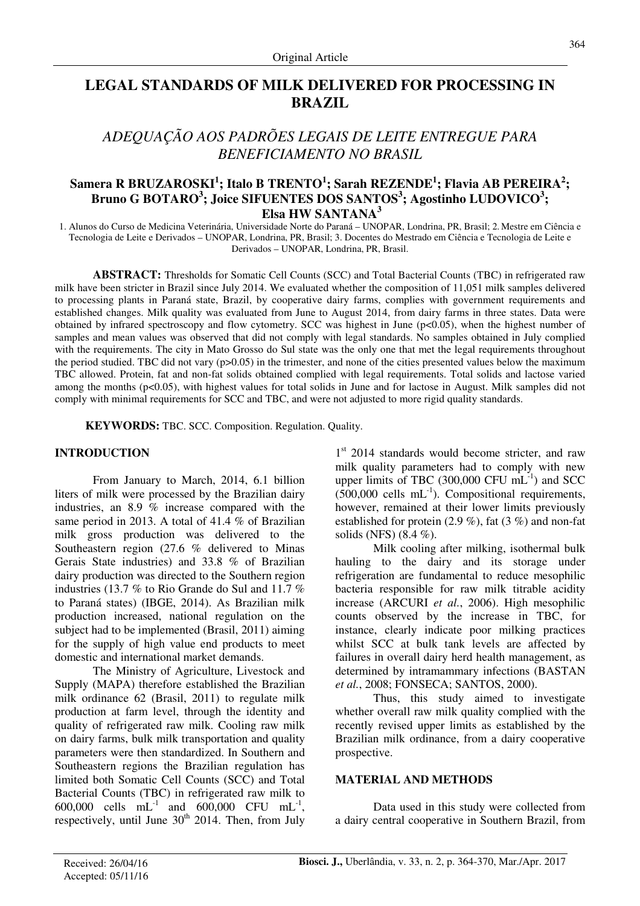## **LEGAL STANDARDS OF MILK DELIVERED FOR PROCESSING IN BRAZIL**

# *ADEQUAÇÃO AOS PADRÕES LEGAIS DE LEITE ENTREGUE PARA BENEFICIAMENTO NO BRASIL*

## **Samera R BRUZAROSKI<sup>1</sup> ; Italo B TRENTO<sup>1</sup> ; Sarah REZENDE<sup>1</sup> ; Flavia AB PEREIRA<sup>2</sup> ; Bruno G BOTARO<sup>3</sup> ; Joice SIFUENTES DOS SANTOS<sup>3</sup> ; Agostinho LUDOVICO<sup>3</sup> ; Elsa HW SANTANA<sup>3</sup>**

1. Alunos do Curso de Medicina Veterinária, Universidade Norte do Paraná – UNOPAR, Londrina, PR, Brasil; 2. Mestre em Ciência e Tecnologia de Leite e Derivados – UNOPAR, Londrina, PR, Brasil; 3. Docentes do Mestrado em Ciência e Tecnologia de Leite e Derivados – UNOPAR, Londrina, PR, Brasil.

**ABSTRACT:** Thresholds for Somatic Cell Counts (SCC) and Total Bacterial Counts (TBC) in refrigerated raw milk have been stricter in Brazil since July 2014. We evaluated whether the composition of 11,051 milk samples delivered to processing plants in Paraná state, Brazil, by cooperative dairy farms, complies with government requirements and established changes. Milk quality was evaluated from June to August 2014, from dairy farms in three states. Data were obtained by infrared spectroscopy and flow cytometry. SCC was highest in June (p<0.05), when the highest number of samples and mean values was observed that did not comply with legal standards. No samples obtained in July complied with the requirements. The city in Mato Grosso do Sul state was the only one that met the legal requirements throughout the period studied. TBC did not vary  $(p>0.05)$  in the trimester, and none of the cities presented values below the maximum TBC allowed. Protein, fat and non-fat solids obtained complied with legal requirements. Total solids and lactose varied among the months (p<0.05), with highest values for total solids in June and for lactose in August. Milk samples did not comply with minimal requirements for SCC and TBC, and were not adjusted to more rigid quality standards.

**KEYWORDS:** TBC. SCC. Composition. Regulation. Quality.

#### **INTRODUCTION**

From January to March, 2014, 6.1 billion liters of milk were processed by the Brazilian dairy industries, an 8.9 % increase compared with the same period in 2013. A total of 41.4 % of Brazilian milk gross production was delivered to the Southeastern region (27.6 % delivered to Minas Gerais State industries) and 33.8 % of Brazilian dairy production was directed to the Southern region industries (13.7 % to Rio Grande do Sul and 11.7 % to Paraná states) (IBGE, 2014). As Brazilian milk production increased, national regulation on the subject had to be implemented (Brasil, 2011) aiming for the supply of high value end products to meet domestic and international market demands.

The Ministry of Agriculture, Livestock and Supply (MAPA) therefore established the Brazilian milk ordinance 62 (Brasil, 2011) to regulate milk production at farm level, through the identity and quality of refrigerated raw milk. Cooling raw milk on dairy farms, bulk milk transportation and quality parameters were then standardized. In Southern and Southeastern regions the Brazilian regulation has limited both Somatic Cell Counts (SCC) and Total Bacterial Counts (TBC) in refrigerated raw milk to 600,000 cells  $mL^{-1}$  and 600,000 CFU  $mL^{-1}$ , respectively, until June  $30<sup>th</sup>$  2014. Then, from July

1<sup>st</sup> 2014 standards would become stricter, and raw milk quality parameters had to comply with new upper limits of TBC  $(300,000 \text{ CFU } mL^{-1})$  and SCC  $(500,000 \text{ cells } mL^{-1})$ . Compositional requirements, however, remained at their lower limits previously established for protein (2.9 %), fat (3 %) and non-fat solids (NFS) (8.4 %).

Milk cooling after milking, isothermal bulk hauling to the dairy and its storage under refrigeration are fundamental to reduce mesophilic bacteria responsible for raw milk titrable acidity increase (ARCURI *et al.*, 2006). High mesophilic counts observed by the increase in TBC, for instance, clearly indicate poor milking practices whilst SCC at bulk tank levels are affected by failures in overall dairy herd health management, as determined by intramammary infections (BASTAN *et al.*, 2008; FONSECA; SANTOS, 2000).

Thus, this study aimed to investigate whether overall raw milk quality complied with the recently revised upper limits as established by the Brazilian milk ordinance, from a dairy cooperative prospective.

#### **MATERIAL AND METHODS**

Data used in this study were collected from a dairy central cooperative in Southern Brazil, from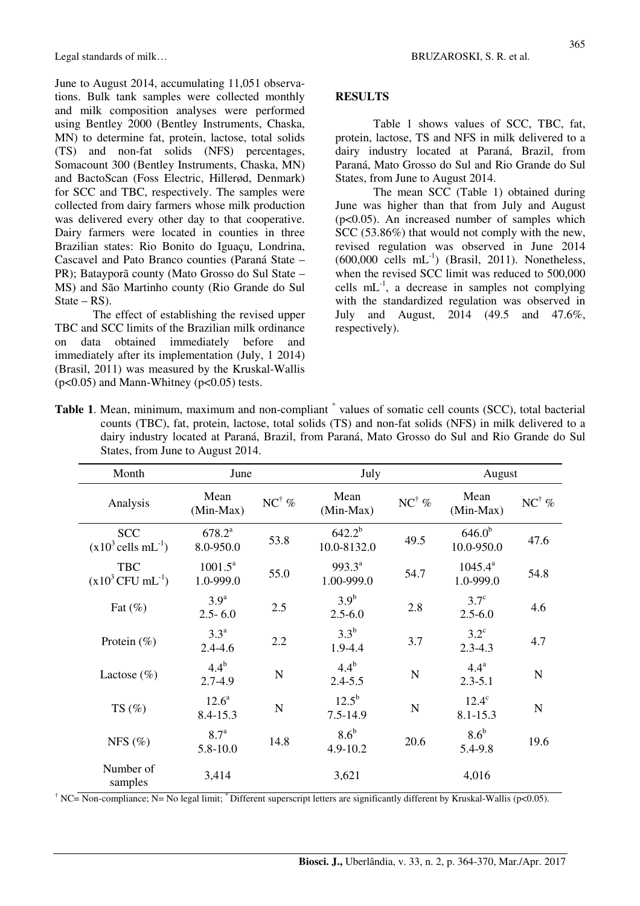June to August 2014, accumulating 11,051 observations. Bulk tank samples were collected monthly and milk composition analyses were performed using Bentley 2000 (Bentley Instruments, Chaska, MN) to determine fat, protein, lactose, total solids (TS) and non-fat solids (NFS) percentages, Somacount 300 (Bentley Instruments, Chaska, MN) and BactoScan (Foss Electric, Hillerød, Denmark) for SCC and TBC, respectively. The samples were collected from dairy farmers whose milk production was delivered every other day to that cooperative. Dairy farmers were located in counties in three Brazilian states: Rio Bonito do Iguaçu, Londrina, Cascavel and Pato Branco counties (Paraná State – PR); Batayporã county (Mato Grosso do Sul State – MS) and São Martinho county (Rio Grande do Sul State –  $RS$ ).

The effect of establishing the revised upper TBC and SCC limits of the Brazilian milk ordinance on data obtained immediately before and immediately after its implementation (July, 1 2014) (Brasil, 2011) was measured by the Kruskal-Wallis  $(p<0.05)$  and Mann-Whitney  $(p<0.05)$  tests.

### **RESULTS**

Table 1 shows values of SCC, TBC, fat, protein, lactose, TS and NFS in milk delivered to a dairy industry located at Paraná, Brazil, from Paraná, Mato Grosso do Sul and Rio Grande do Sul States, from June to August 2014.

The mean SCC (Table 1) obtained during June was higher than that from July and August  $(p<0.05)$ . An increased number of samples which SCC (53.86%) that would not comply with the new. revised regulation was observed in June 2014  $(600,000 \text{ cells } \text{mL}^{-1})$  (Brasil, 2011). Nonetheless, when the revised SCC limit was reduced to 500,000 cells  $mL^{-1}$ , a decrease in samples not complying with the standardized regulation was observed in July and August, 2014 (49.5 and 47.6%, respectively).

| Table 1. Mean, minimum, maximum and non-compliant values of somatic cell counts (SCC), total bacterial |
|--------------------------------------------------------------------------------------------------------|
| counts (TBC), fat, protein, lactose, total solids (TS) and non-fat solids (NFS) in milk delivered to a |
| dairy industry located at Paraná, Brazil, from Paraná, Mato Grosso do Sul and Rio Grande do Sul        |
| States, from June to August 2014.                                                                      |

| Month                                           | June                            |                  | July                            |                  | August                          |                |  |
|-------------------------------------------------|---------------------------------|------------------|---------------------------------|------------------|---------------------------------|----------------|--|
| Analysis                                        | Mean<br>(Min-Max)               | $NC^{\dagger}$ % | Mean<br>(Min-Max)               | $NC^{\dagger}$ % | Mean<br>(Min-Max)               | $NC^\dagger$ % |  |
| <b>SCC</b><br>$(x10^3$ cells mL <sup>-1</sup> ) | $678.2^{\text{a}}$<br>8.0-950.0 | 53.8             | $642.2^b$<br>10.0-8132.0        | 49.5             | $646.0^{b}$<br>10.0-950.0       | 47.6           |  |
| <b>TBC</b><br>$(x10^3$ CFU mL <sup>-1</sup> )   | $1001.5^a$<br>1.0-999.0         | 55.0             | $993.3^a$<br>1.00-999.0         | 54.7             | $1045.4^a$<br>1.0-999.0         | 54.8           |  |
| Fat $(\%)$                                      | 3.9 <sup>a</sup><br>$2.5 - 6.0$ | 2.5              | 3.9 <sup>b</sup><br>$2.5 - 6.0$ | 2.8              | $3.7^\circ$<br>$2.5 - 6.0$      | 4.6            |  |
| Protein $(\% )$                                 | $3.3^{a}$<br>2.2<br>$2.4 - 4.6$ |                  | $3.3^{b}$<br>1.9-4.4            | 3.7              | $3.2^{\circ}$<br>$2.3 - 4.3$    | 4.7            |  |
| Lactose $(\%)$                                  | $4.4^b$<br>$2.7 - 4.9$          | N                | $4.4^b$<br>$2.4 - 5.5$          | $\mathbf N$      | 4.4 <sup>a</sup><br>$2.3 - 5.1$ | $\mathbf N$    |  |
| TS $(\% )$                                      | 12.6 <sup>a</sup><br>8.4-15.3   | N                | $12.5^{\rm b}$<br>$7.5 - 14.9$  | $\mathbf N$      | $12.4^\circ$<br>8.1-15.3        | $\mathbf N$    |  |
| NFS $(\% )$                                     | 8.7 <sup>a</sup><br>5.8-10.0    | 14.8             | $8.6^{\rm b}$<br>4.9-10.2       | 20.6             | 8.6 <sup>b</sup><br>5.4-9.8     | 19.6           |  |
| Number of<br>samples                            | 3,414                           |                  | 3,621                           |                  | 4,016                           |                |  |

<sup>†</sup> NC= Non-compliance; N= No legal limit; <sup>\*</sup> Different superscript letters are significantly different by Kruskal-Wallis (p<0.05).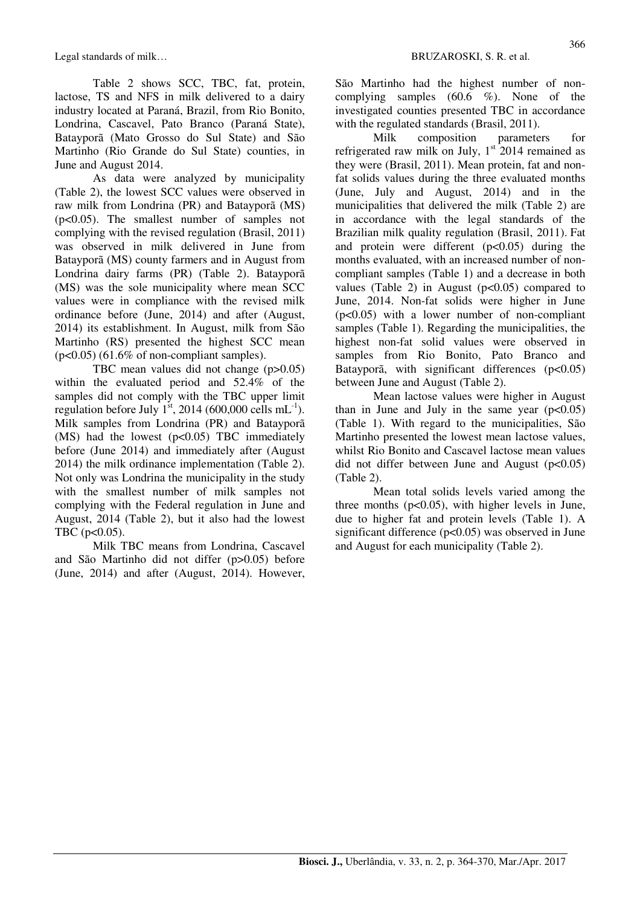Table 2 shows SCC, TBC, fat, protein, lactose, TS and NFS in milk delivered to a dairy industry located at Paraná, Brazil, from Rio Bonito, Londrina, Cascavel, Pato Branco (Paraná State), Batayporã (Mato Grosso do Sul State) and São Martinho (Rio Grande do Sul State) counties, in June and August 2014.

As data were analyzed by municipality (Table 2), the lowest SCC values were observed in raw milk from Londrina (PR) and Batayporã (MS) (p<0.05). The smallest number of samples not complying with the revised regulation (Brasil, 2011) was observed in milk delivered in June from Batayporã (MS) county farmers and in August from Londrina dairy farms (PR) (Table 2). Batayporã (MS) was the sole municipality where mean SCC values were in compliance with the revised milk ordinance before (June, 2014) and after (August, 2014) its establishment. In August, milk from São Martinho (RS) presented the highest SCC mean  $(p<0.05)$  (61.6% of non-compliant samples).

TBC mean values did not change (p>0.05) within the evaluated period and 52.4% of the samples did not comply with the TBC upper limit regulation before July  $1^{st}$ , 2014 (600,000 cells mL<sup>-1</sup>). Milk samples from Londrina (PR) and Batayporã (MS) had the lowest  $(p<0.05)$  TBC immediately before (June 2014) and immediately after (August 2014) the milk ordinance implementation (Table 2). Not only was Londrina the municipality in the study with the smallest number of milk samples not complying with the Federal regulation in June and August, 2014 (Table 2), but it also had the lowest TBC ( $p<0.05$ ).

Milk TBC means from Londrina, Cascavel and São Martinho did not differ (p>0.05) before (June, 2014) and after (August, 2014). However, São Martinho had the highest number of noncomplying samples (60.6 %). None of the investigated counties presented TBC in accordance with the regulated standards (Brasil, 2011).

Milk composition parameters for refrigerated raw milk on July,  $1<sup>st</sup>$  2014 remained as they were (Brasil, 2011). Mean protein, fat and nonfat solids values during the three evaluated months (June, July and August, 2014) and in the municipalities that delivered the milk (Table 2) are in accordance with the legal standards of the Brazilian milk quality regulation (Brasil, 2011). Fat and protein were different  $(p<0.05)$  during the months evaluated, with an increased number of noncompliant samples (Table 1) and a decrease in both values (Table 2) in August  $(p<0.05)$  compared to June, 2014. Non-fat solids were higher in June  $(p<0.05)$  with a lower number of non-compliant samples (Table 1). Regarding the municipalities, the highest non-fat solid values were observed in samples from Rio Bonito, Pato Branco and Batayporã, with significant differences  $(p<0.05)$ between June and August (Table 2).

Mean lactose values were higher in August than in June and July in the same year  $(p<0.05)$ (Table 1). With regard to the municipalities, São Martinho presented the lowest mean lactose values, whilst Rio Bonito and Cascavel lactose mean values did not differ between June and August  $(p<0.05)$ (Table 2).

Mean total solids levels varied among the three months  $(p<0.05)$ , with higher levels in June, due to higher fat and protein levels (Table 1). A significant difference ( $p<0.05$ ) was observed in June and August for each municipality (Table 2).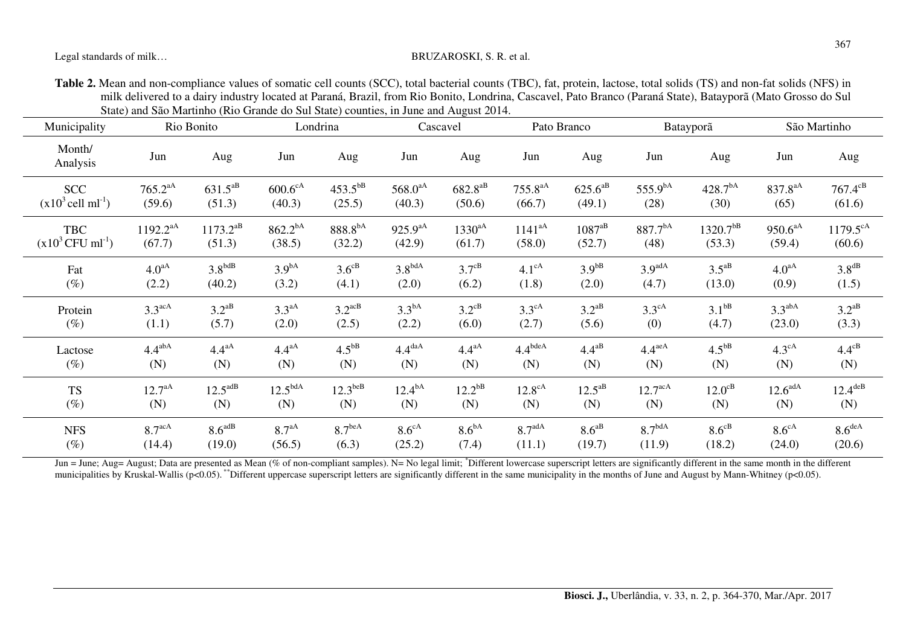#### Legal standards of milk… BRUZAROSKI, S. R. et al.

**Table 2.** Mean and non-compliance values of somatic cell counts (SCC), total bacterial counts (TBC), fat, protein, lactose, total solids (TS) and non-fat solids (NFS) in milk delivered to a dairy industry located at Paraná, Brazil, from Rio Bonito, Londrina, Cascavel, Pato Branco (Paraná State), Batayporã (Mato Grosso do Sul State) and São Martinho (Rio Grande do Sul State) counties, in June and August 2014.

| Municipality                     |                      | Rio Bonito<br>Londrina |                     | Cascavel             |                    | Pato Branco           |                    | Batayporã            |                     | São Martinho       |                     |                      |
|----------------------------------|----------------------|------------------------|---------------------|----------------------|--------------------|-----------------------|--------------------|----------------------|---------------------|--------------------|---------------------|----------------------|
| Month/<br>Analysis               | Jun                  | Aug                    | Jun                 | Aug                  | Jun                | Aug                   | Jun                | Aug                  | Jun                 | Aug                | Jun                 | Aug                  |
| <b>SCC</b>                       | $765.2^{aA}$         | $631.5^{aB}$           | $600.6^{\text{cA}}$ | $453.5^{bB}$         | $568.0^{aA}$       | $682.8^{\mathrm{aB}}$ | $755.8^{aA}$       | $625.6^{aB}$         | 555.9 <sup>bA</sup> | $428.7^{bA}$       | 837.8 <sup>aA</sup> | $767.4^{cB}$         |
| $(x10^3$ cell ml <sup>-1</sup> ) | (59.6)               | (51.3)                 | (40.3)              | (25.5)               | (40.3)             | (50.6)                | (66.7)             | (49.1)               | (28)                | (30)               | (65)                | (61.6)               |
| <b>TBC</b>                       | $1192.2^{\text{aA}}$ | $1173.2^{aB}$          | $862.2^{bA}$        | 888.8bA              | $925.9^{aA}$       | $1330^{\text{aA}}$    | $1141^{aA}$        | $1087$ <sup>aB</sup> | $887.7^{bA}$        | $1320.7^{bB}$      | $950.6^{aA}$        | $1179.5^{\text{cA}}$ |
| $(x10^3$ CFU ml <sup>-1</sup> )  | (67.7)               | (51.3)                 | (38.5)              | (32.2)               | (42.9)             | (61.7)                | (58.0)             | (52.7)               | (48)                | (53.3)             | (59.4)              | (60.6)               |
| Fat                              | 4.0 <sup>aA</sup>    | 3.8 <sup>bdB</sup>     | 3.9 <sup>bA</sup>   | $3.6^{cB}$           | 3.8 <sup>bdA</sup> | 3.7 <sup>CB</sup>     | $4.1^{\text{cA}}$  | 3.9 <sup>bB</sup>    | 3.9 <sup>adA</sup>  | $3.5^{aB}$         | 4.0 <sup>aA</sup>   | $3.8^{dB}$           |
| $(\%)$                           | (2.2)                | (40.2)                 | (3.2)               | (4.1)                | (2.0)              | (6.2)                 | (1.8)              | (2.0)                | (4.7)               | (13.0)             | (0.9)               | (1.5)                |
| Protein                          | $3.3^{\text{acA}}$   | $3.2^{\text{aB}}$      | $3.3^{aA}$          | $3.2^{\mathrm{acB}}$ | 3.3 <sup>bA</sup>  | $3.2^{\text{cB}}$     | $3.3^{\text{cA}}$  | $3.2^{\text{aB}}$    | $3.3^{\text{cA}}$   | 3.1 <sup>bB</sup>  | $3.3^{abA}$         | $3.2^{aB}$           |
| $(\%)$                           | (1.1)                | (5.7)                  | (2.0)               | (2.5)                | (2.2)              | (6.0)                 | (2.7)              | (5.6)                | (0)                 | (4.7)              | (23.0)              | (3.3)                |
| Lactose                          | $4.4^{abA}$          | $4.4^{aA}$             | $4.4^{aA}$          | $4.5^{bB}$           | $4.4^{daA}$        | $4.4^{aA}$            | $4.4^{bdeA}$       | $4.4^{aB}$           | $4.4^{aeA}$         | $4.5^{bB}$         | $4.3^{\text{cA}}$   | $4.4^{\text{cB}}$    |
| $(\%)$                           | (N)                  | (N)                    | (N)                 | (N)                  | (N)                | (N)                   | (N)                | (N)                  | (N)                 | (N)                | (N)                 | (N)                  |
| <b>TS</b>                        | $12.7^{aA}$          | 12.5 <sup>adB</sup>    | 12.5 <sup>bdA</sup> | $12.3^{beB}$         | $12.4^{bA}$        | $12.2^{bB}$           | $12.8^{\text{cA}}$ | $12.5^{aB}$          | $12.7^{\text{acA}}$ | $12.0^{\text{cB}}$ | $12.6^{\text{adA}}$ | $12.4^{\text{deB}}$  |
| $(\%)$                           | (N)                  | (N)                    | (N)                 | (N)                  | (N)                | (N)                   | (N)                | (N)                  | (N)                 | (N)                | (N)                 | (N)                  |
| <b>NFS</b>                       | $8.7^{\text{acA}}$   | 8.6 <sup>adB</sup>     | 8.7 <sup>aA</sup>   | 8.7 <sup>beA</sup>   | $8.6^{\text{cA}}$  | 8.6 <sup>bA</sup>     | 8.7 <sup>adA</sup> | $8.6^{aB}$           | 8.7 <sup>bdA</sup>  | $8.6^{\circ B}$    | $8.6^{\text{cA}}$   | $8.6^{\text{deA}}$   |
| $(\%)$                           | (14.4)               | (19.0)                 | (56.5)              | (6.3)                | (25.2)             | (7.4)                 | (11.1)             | (19.7)               | (11.9)              | (18.2)             | (24.0)              | (20.6)               |

Jun = June; Aug= August; Data are presented as Mean (% of non-compliant samples). N= No legal limit; \*Different lowercase superscript letters are significantly different in the same month in the different municipalities by Kruskal-Wallis (p<0.05). \*\*Different uppercase superscript letters are significantly different in the same municipality in the months of June and August by Mann-Whitney (p<0.05).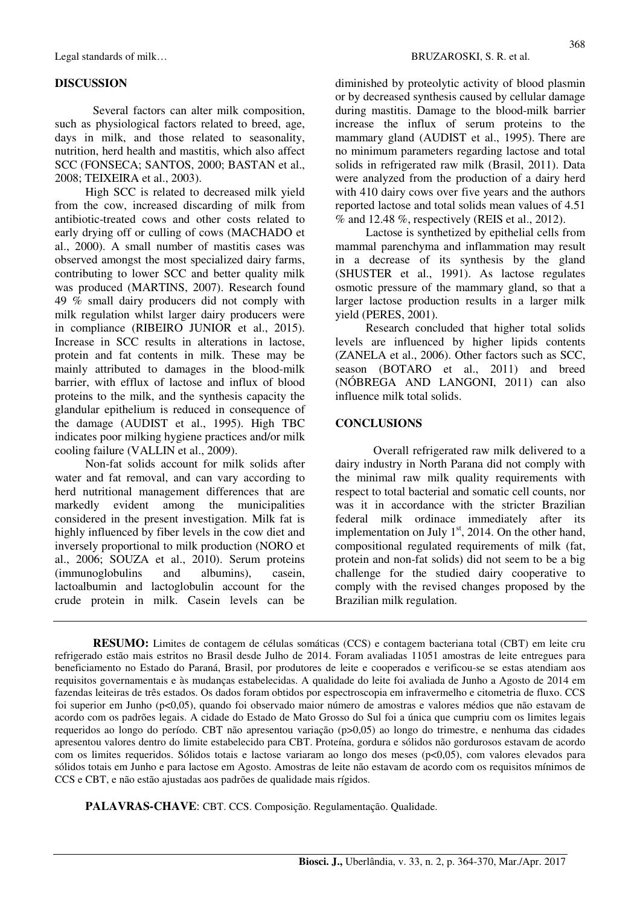#### **DISCUSSION**

Several factors can alter milk composition, such as physiological factors related to breed, age, days in milk, and those related to seasonality, nutrition, herd health and mastitis, which also affect SCC (FONSECA; SANTOS, 2000; BASTAN et al., 2008; TEIXEIRA et al., 2003).

High SCC is related to decreased milk yield from the cow, increased discarding of milk from antibiotic-treated cows and other costs related to early drying off or culling of cows (MACHADO et al., 2000). A small number of mastitis cases was observed amongst the most specialized dairy farms, contributing to lower SCC and better quality milk was produced (MARTINS, 2007). Research found 49 % small dairy producers did not comply with milk regulation whilst larger dairy producers were in compliance (RIBEIRO JUNIOR et al., 2015). Increase in SCC results in alterations in lactose, protein and fat contents in milk. These may be mainly attributed to damages in the blood-milk barrier, with efflux of lactose and influx of blood proteins to the milk, and the synthesis capacity the glandular epithelium is reduced in consequence of the damage (AUDIST et al., 1995). High TBC indicates poor milking hygiene practices and/or milk cooling failure (VALLIN et al., 2009).

Non-fat solids account for milk solids after water and fat removal, and can vary according to herd nutritional management differences that are markedly evident among the municipalities considered in the present investigation. Milk fat is highly influenced by fiber levels in the cow diet and inversely proportional to milk production (NORO et al., 2006; SOUZA et al., 2010). Serum proteins (immunoglobulins and albumins), casein, lactoalbumin and lactoglobulin account for the crude protein in milk. Casein levels can be

diminished by proteolytic activity of blood plasmin or by decreased synthesis caused by cellular damage during mastitis. Damage to the blood-milk barrier increase the influx of serum proteins to the mammary gland (AUDIST et al., 1995). There are no minimum parameters regarding lactose and total solids in refrigerated raw milk (Brasil, 2011). Data were analyzed from the production of a dairy herd with 410 dairy cows over five years and the authors reported lactose and total solids mean values of 4.51 % and 12.48 %, respectively (REIS et al., 2012).

Lactose is synthetized by epithelial cells from mammal parenchyma and inflammation may result in a decrease of its synthesis by the gland (SHUSTER et al., 1991). As lactose regulates osmotic pressure of the mammary gland, so that a larger lactose production results in a larger milk yield (PERES, 2001).

Research concluded that higher total solids levels are influenced by higher lipids contents (ZANELA et al., 2006). Other factors such as SCC, season (BOTARO et al., 2011) and breed (NÓBREGA AND LANGONI, 2011) can also influence milk total solids.

#### **CONCLUSIONS**

Overall refrigerated raw milk delivered to a dairy industry in North Parana did not comply with the minimal raw milk quality requirements with respect to total bacterial and somatic cell counts, nor was it in accordance with the stricter Brazilian federal milk ordinace immediately after its implementation on July  $1<sup>st</sup>$ , 2014. On the other hand, compositional regulated requirements of milk (fat, protein and non-fat solids) did not seem to be a big challenge for the studied dairy cooperative to comply with the revised changes proposed by the Brazilian milk regulation.

**RESUMO:** Limites de contagem de células somáticas (CCS) e contagem bacteriana total (CBT) em leite cru refrigerado estão mais estritos no Brasil desde Julho de 2014. Foram avaliadas 11051 amostras de leite entregues para beneficiamento no Estado do Paraná, Brasil, por produtores de leite e cooperados e verificou-se se estas atendiam aos requisitos governamentais e às mudanças estabelecidas. A qualidade do leite foi avaliada de Junho a Agosto de 2014 em fazendas leiteiras de três estados. Os dados foram obtidos por espectroscopia em infravermelho e citometria de fluxo. CCS foi superior em Junho (p<0,05), quando foi observado maior número de amostras e valores médios que não estavam de acordo com os padrões legais. A cidade do Estado de Mato Grosso do Sul foi a única que cumpriu com os limites legais requeridos ao longo do período. CBT não apresentou variação (p>0,05) ao longo do trimestre, e nenhuma das cidades apresentou valores dentro do limite estabelecido para CBT. Proteína, gordura e sólidos não gordurosos estavam de acordo com os limites requeridos. Sólidos totais e lactose variaram ao longo dos meses (p<0,05), com valores elevados para sólidos totais em Junho e para lactose em Agosto. Amostras de leite não estavam de acordo com os requisitos mínimos de CCS e CBT, e não estão ajustadas aos padrões de qualidade mais rígidos.

**PALAVRAS-CHAVE**: CBT. CCS. Composição. Regulamentação. Qualidade.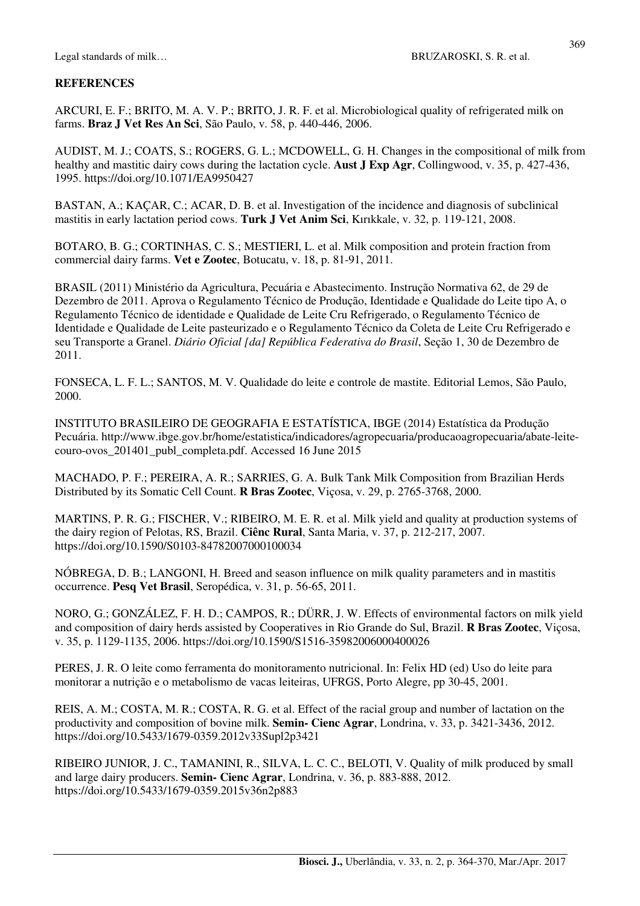ARCURI, E. F.; BRITO, M. A. V. P.; BRITO, J. R. F. et al. Microbiological quality of refrigerated milk on farms. **Braz J Vet Res An Sci**, São Paulo, v. 58, p. 440-446, 2006.

AUDIST, M. J.; COATS, S.; ROGERS, G. L.; MCDOWELL, G. H. Changes in the compositional of milk from healthy and mastitic dairy cows during the lactation cycle. **Aust J Exp Agr**, Collingwood, v. 35, p. 427-436, 1995. https://doi.org/10.1071/EA9950427

BASTAN, A.; KAÇAR, C.; ACAR, D. B. et al. Investigation of the incidence and diagnosis of subclinical mastitis in early lactation period cows. **Turk J Vet Anim Sci**, Kırıkkale, v. 32, p. 119-121, 2008.

BOTARO, B. G.; CORTINHAS, C. S.; MESTIERI, L. et al. Milk composition and protein fraction from commercial dairy farms. **Vet e Zootec**, Botucatu, v. 18, p. 81-91, 2011.

BRASIL (2011) Ministério da Agricultura, Pecuária e Abastecimento. Instrução Normativa 62, de 29 de Dezembro de 2011. Aprova o Regulamento Técnico de Produção, Identidade e Qualidade do Leite tipo A, o Regulamento Técnico de identidade e Qualidade de Leite Cru Refrigerado, o Regulamento Técnico de Identidade e Qualidade de Leite pasteurizado e o Regulamento Técnico da Coleta de Leite Cru Refrigerado e seu Transporte a Granel. *Diário Oficial [da] República Federativa do Brasil*, Seção 1, 30 de Dezembro de 2011.

FONSECA, L. F. L.; SANTOS, M. V. Qualidade do leite e controle de mastite. Editorial Lemos, São Paulo, 2000.

INSTITUTO BRASILEIRO DE GEOGRAFIA E ESTATÍSTICA, IBGE (2014) Estatística da Produção Pecuária. http://www.ibge.gov.br/home/estatistica/indicadores/agropecuaria/producaoagropecuaria/abate-leitecouro-ovos\_201401\_publ\_completa.pdf. Accessed 16 June 2015

MACHADO, P. F.; PEREIRA, A. R.; SARRIES, G. A. Bulk Tank Milk Composition from Brazilian Herds Distributed by its Somatic Cell Count. **R Bras Zootec**, Viçosa, v. 29, p. 2765-3768, 2000.

MARTINS, P. R. G.; FISCHER, V.; RIBEIRO, M. E. R. et al. Milk yield and quality at production systems of the dairy region of Pelotas, RS, Brazil. **Ciênc Rural**, Santa Maria, v. 37, p. 212-217, 2007. https://doi.org/10.1590/S0103-84782007000100034

NÓBREGA, D. B.; LANGONI, H. Breed and season influence on milk quality parameters and in mastitis occurrence. **Pesq Vet Brasil**, Seropédica, v. 31, p. 56-65, 2011.

NORO, G.; GONZÁLEZ, F. H. D.; CAMPOS, R.; DÜRR, J. W. Effects of environmental factors on milk yield and composition of dairy herds assisted by Cooperatives in Rio Grande do Sul, Brazil. **R Bras Zootec**, Viçosa, v. 35, p. 1129-1135, 2006. https://doi.org/10.1590/S1516-35982006000400026

PERES, J. R. O leite como ferramenta do monitoramento nutricional. In: Felix HD (ed) Uso do leite para monitorar a nutrição e o metabolismo de vacas leiteiras, UFRGS, Porto Alegre, pp 30-45, 2001.

REIS, A. M.; COSTA, M. R.; COSTA, R. G. et al. Effect of the racial group and number of lactation on the productivity and composition of bovine milk. **Semin- Cienc Agrar**, Londrina, v. 33, p. 3421-3436, 2012. https://doi.org/10.5433/1679-0359.2012v33Supl2p3421

RIBEIRO JUNIOR, J. C., TAMANINI, R., SILVA, L. C. C., BELOTI, V. Quality of milk produced by small and large dairy producers. **Semin- Cienc Agrar**, Londrina, v. 36, p. 883-888, 2012. https://doi.org/10.5433/1679-0359.2015v36n2p883